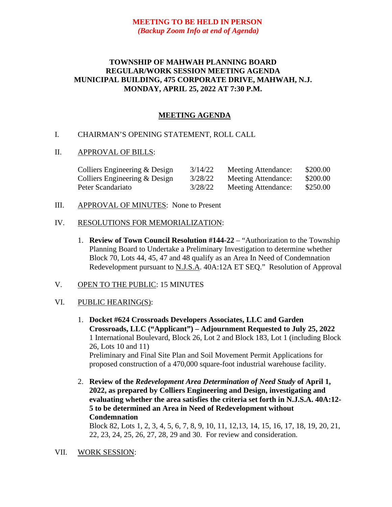# **MEETING TO BE HELD IN PERSON** *(Backup Zoom Info at end of Agenda)*

## **TOWNSHIP OF MAHWAH PLANNING BOARD REGULAR/WORK SESSION MEETING AGENDA MUNICIPAL BUILDING, 475 CORPORATE DRIVE, MAHWAH, N.J. MONDAY, APRIL 25, 2022 AT 7:30 P.M.**

# **MEETING AGENDA**

#### I. CHAIRMAN'S OPENING STATEMENT, ROLL CALL

#### II. APPROVAL OF BILLS:

| Colliers Engineering & Design | 3/14/22 | Meeting Attendance: | \$200.00 |
|-------------------------------|---------|---------------------|----------|
| Colliers Engineering & Design | 3/28/22 | Meeting Attendance: | \$200.00 |
| Peter Scandariato             | 3/28/22 | Meeting Attendance: | \$250.00 |

III. APPROVAL OF MINUTES: None to Present

#### IV. RESOLUTIONS FOR MEMORIALIZATION:

1. **Review of Town Council Resolution #144-22** – "Authorization to the Township Planning Board to Undertake a Preliminary Investigation to determine whether Block 70, Lots 44, 45, 47 and 48 qualify as an Area In Need of Condemnation Redevelopment pursuant to N.J.S.A. 40A:12A ET SEQ." Resolution of Approval

### V. OPEN TO THE PUBLIC: 15 MINUTES

#### VI. PUBLIC HEARING(S):

- 1. **Docket #624 Crossroads Developers Associates, LLC and Garden Crossroads, LLC ("Applicant") – Adjournment Requested to July 25, 2022** 1 International Boulevard, Block 26, Lot 2 and Block 183, Lot 1 (including Block 26, Lots 10 and 11) Preliminary and Final Site Plan and Soil Movement Permit Applications for proposed construction of a 470,000 square-foot industrial warehouse facility.
- 2. **Review of the** *Redevelopment Area Determination of Need Study* **of April 1, 2022, as prepared by Colliers Engineering and Design, investigating and evaluating whether the area satisfies the criteria set forth in N.J.S.A. 40A:12- 5 to be determined an Area in Need of Redevelopment without Condemnation** Block 82, Lots 1, 2, 3, 4, 5, 6, 7, 8, 9, 10, 11, 12,13, 14, 15, 16, 17, 18, 19, 20, 21,

22, 23, 24, 25, 26, 27, 28, 29 and 30. For review and consideration.

VII. WORK SESSION: